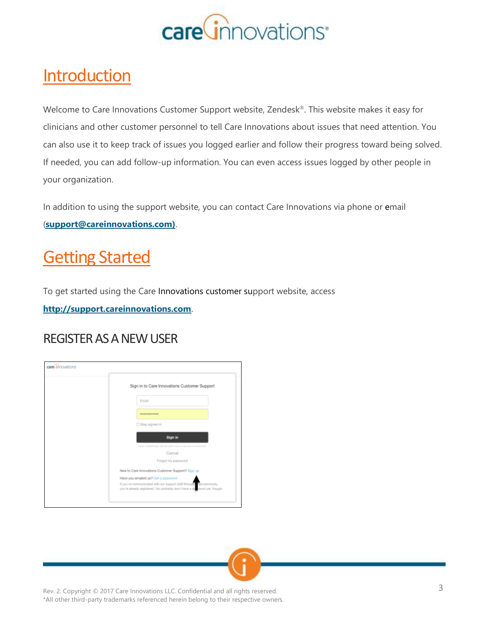

### **Introduction**

Welcome to Care Innovations Customer Support website, Zendesk®. This website makes it easy for clinicians and other customer personnel to tell Care Innovations about issues that need attention. You can also use it to keep track of issues you logged earlier and follow their progress toward being solved. If needed, you can add follow-up information. You can even access issues logged by other people in your organization.

In addition to using the support website, you can contact Care Innovations via phone or email (**[support@careinnovations.com\)](mailto:support@careinnovations.com))**.

## Getting Started

To get started using the Care Innovations customer support website, access **[http://support.careinnovations.com](http://support.careinnovations.com/)**.

#### REGISTER AS A NEW USER



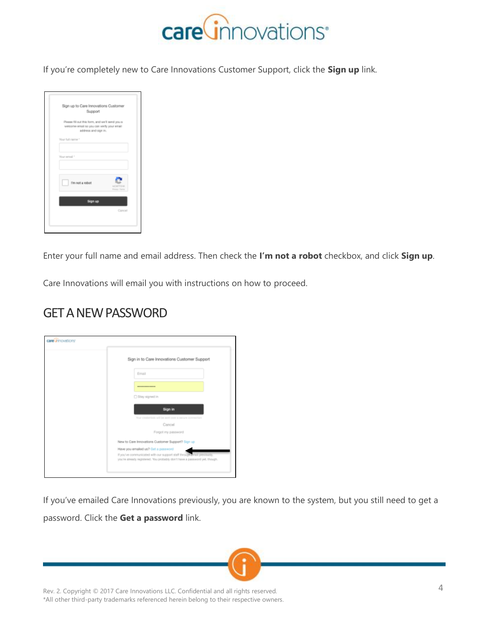

If you're completely new to Care Innovations Customer Support, click the **Sign up** link.

| Sign up to Care Innovations Customer<br>Support                                                                       |                            |
|-----------------------------------------------------------------------------------------------------------------------|----------------------------|
| Please fill out this form, and we'll send you a<br>welcome email so you can verify your email<br>address and sign in. |                            |
| Your full name."                                                                                                      |                            |
| Your erreal *                                                                                                         |                            |
| l'im not a robot                                                                                                      | ROWFFOLK<br>Finance Fierry |
| Sign up                                                                                                               |                            |
|                                                                                                                       | Cancel                     |

Enter your full name and email address. Then check the **I'm not a robot** checkbox, and click **Sign up**.

Care Innovations will email you with instructions on how to proceed.

#### GET A NEW PASSWORD

| Sign in to Care Innovations Customer Support<br>Email<br>----------------<br>□ Stay signed in<br>Sign in<br>Your credentials will be sent over a secure connection<br>Cancel<br>Forgot my password<br>New to Care Innovations Customer Support? Sign up<br>Have you emailed us? Get a password<br>If you've communicated with our support staff through einail previously.<br>you're already registered. You probably don't have a password yet, though. | care innovations |  |
|----------------------------------------------------------------------------------------------------------------------------------------------------------------------------------------------------------------------------------------------------------------------------------------------------------------------------------------------------------------------------------------------------------------------------------------------------------|------------------|--|
|                                                                                                                                                                                                                                                                                                                                                                                                                                                          |                  |  |
|                                                                                                                                                                                                                                                                                                                                                                                                                                                          |                  |  |
|                                                                                                                                                                                                                                                                                                                                                                                                                                                          |                  |  |
|                                                                                                                                                                                                                                                                                                                                                                                                                                                          |                  |  |
|                                                                                                                                                                                                                                                                                                                                                                                                                                                          |                  |  |
|                                                                                                                                                                                                                                                                                                                                                                                                                                                          |                  |  |
|                                                                                                                                                                                                                                                                                                                                                                                                                                                          |                  |  |
|                                                                                                                                                                                                                                                                                                                                                                                                                                                          |                  |  |
|                                                                                                                                                                                                                                                                                                                                                                                                                                                          |                  |  |
|                                                                                                                                                                                                                                                                                                                                                                                                                                                          |                  |  |
|                                                                                                                                                                                                                                                                                                                                                                                                                                                          |                  |  |
|                                                                                                                                                                                                                                                                                                                                                                                                                                                          |                  |  |

If you've emailed Care Innovations previously, you are known to the system, but you still need to get a password. Click the **Get a password** link.

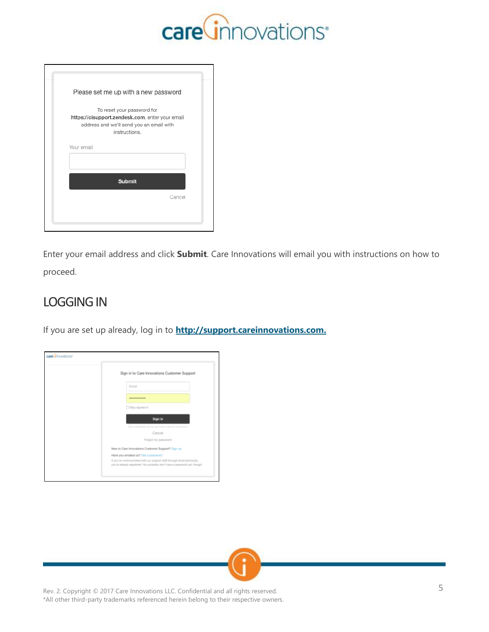

| Please set me up with a new password                                                                                                       |  |
|--------------------------------------------------------------------------------------------------------------------------------------------|--|
| To reset your password for<br>https://cisupport.zendesk.com, enter your email<br>address and we'll send you an email with<br>instructions. |  |
| Your email                                                                                                                                 |  |
| <b>Submit</b>                                                                                                                              |  |
| Cancel                                                                                                                                     |  |
|                                                                                                                                            |  |

Enter your email address and click **Submit**. Care Innovations will email you with instructions on how to proceed.

### LOGGING IN

If you are set up already, log in to **[http://support.careinnovations.com.](http://support.careinnovations.com/)**



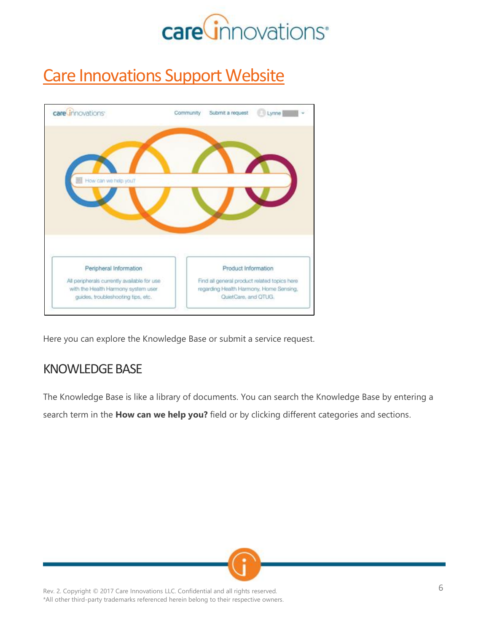

# **Care Innovations Support Website**



Here you can explore the Knowledge Base or submit a service request.

#### KNOWLEDGE BASE

The Knowledge Base is like a library of documents. You can search the Knowledge Base by entering a search term in the **How can we help you?** field or by clicking different categories and sections.

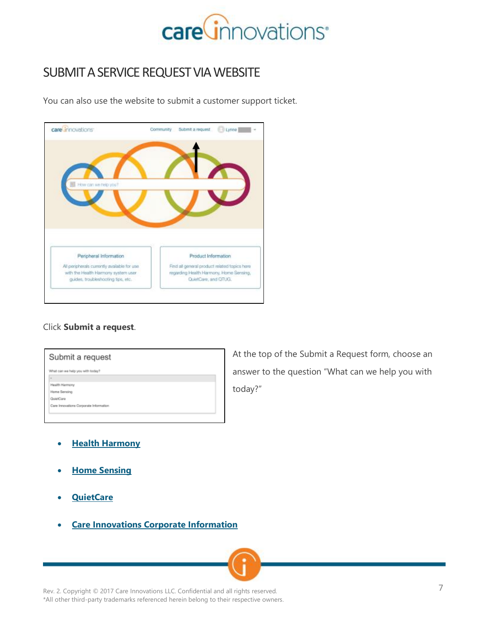

#### SUBMIT A SERVICE REQUEST VIA WEBSITE

You can also use the website to submit a customer support ticket.



#### Click **Submit a request**.

| What can we help you with today?       |  |  |
|----------------------------------------|--|--|
|                                        |  |  |
| Health Harmony                         |  |  |
| Home Sensing                           |  |  |
| QuietCare                              |  |  |
| Care Innovations Corporate Information |  |  |

At the top of the Submit a Request form, choose an answer to the question "What can we help you with today?"

- **[Health Harmony](https://cisupport.zendesk.com/hc/en-us/articles/115002453846-How-To-Submit-a-Health-Harmony-Support-Request)**
- **[Home Sensing](https://cisupport.zendesk.com/hc/en-us/articles/115002423403-How-To-Submit-a-Home-Sensing-Request)**
- **[QuietCare](https://cisupport.zendesk.com/hc/en-us/articles/115002454286-How-To-Submit-a-QuietCare-Request)**
- **Care Innovations [Corporate Information](https://cisupport.zendesk.com/hc/en-us/articles/115002423343-Have-a-general-question-about-Care-Innovations-)**

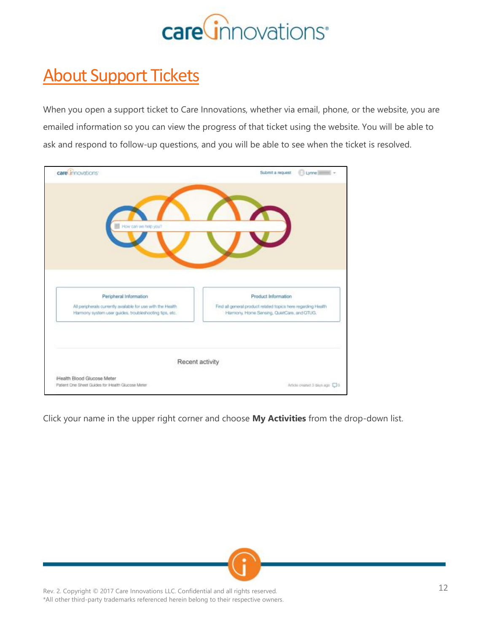

# About Support Tickets

When you open a support ticket to Care Innovations, whether via email, phone, or the website, you are emailed information so you can view the progress of that ticket using the website. You will be able to ask and respond to follow-up questions, and you will be able to see when the ticket is resolved.

| care innovations                                                                                                       | Lynne Reserve<br>Submit a request                                                    |
|------------------------------------------------------------------------------------------------------------------------|--------------------------------------------------------------------------------------|
|                                                                                                                        |                                                                                      |
| How can we hap you?                                                                                                    |                                                                                      |
|                                                                                                                        |                                                                                      |
| Peripheral Information                                                                                                 | Product Information<br>Find all general product related topics here regarding Health |
| All peripherals currently available for use with the Health.<br>Harmony system user guides, troubleshooting tips, etc. | Harmony, Home Sensing, QuietCare, and CITUG.                                         |
|                                                                                                                        |                                                                                      |
| iHealth Blood Glucose Meter                                                                                            | Recent activity                                                                      |

Click your name in the upper right corner and choose **My Activities** from the drop-down list.

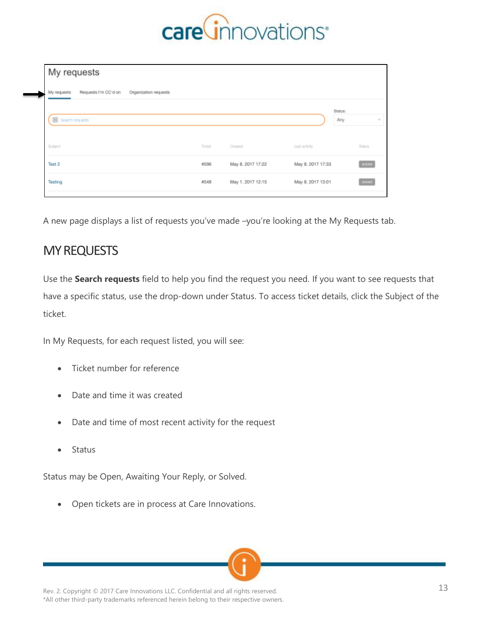

| My requests                                                  |        |                   |                   |        |
|--------------------------------------------------------------|--------|-------------------|-------------------|--------|
| Requests I'm CC'd on<br>My requests<br>Organization requests |        |                   |                   |        |
| Search requests                                              |        |                   | Status:<br>Any    |        |
| Subject                                                      | Ticket | Created           | Last activity     | Status |
| Test 2                                                       | #596   | May 8. 2017 17:22 | May 8. 2017 17:33 | solved |
| Testing                                                      | 4548   | May 1. 2017 12:15 | May 8. 2017 13:01 | solved |

A new page displays a list of requests you've made –you're looking at the My Requests tab.

#### MY REQUESTS

Use the **Search requests** field to help you find the request you need. If you want to see requests that have a specific status, use the drop-down under Status. To access ticket details, click the Subject of the ticket.

In My Requests, for each request listed, you will see:

- Ticket number for reference
- Date and time it was created
- Date and time of most recent activity for the request
- Status

Status may be Open, Awaiting Your Reply, or Solved.

• Open tickets are in process at Care Innovations.

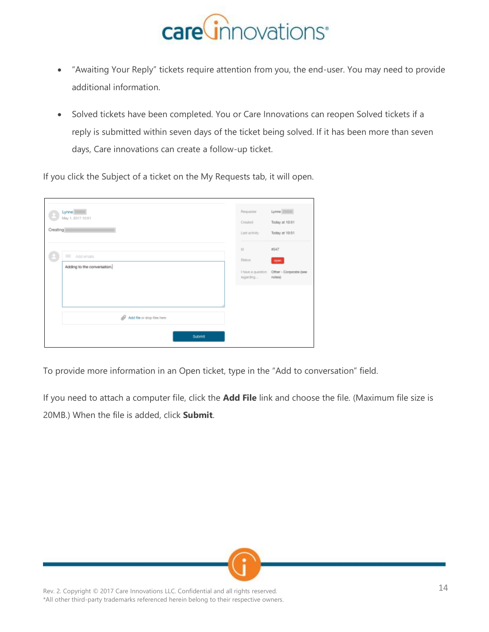

- "Awaiting Your Reply" tickets require attention from you, the end-user. You may need to provide additional information.
- Solved tickets have been completed. You or Care Innovations can reopen Solved tickets if a reply is submitted within seven days of the ticket being solved. If it has been more than seven days, Care innovations can create a follow-up ticket.

If you click the Subject of a ticket on the My Requests tab, it will open.

| Creating | Lynne <sup>11</sup><br>May 1, 2017 10:51     | Requester<br>Created<br>Last activity           | Lynne          <br>Today at 10.51<br>Today at 10:51 |
|----------|----------------------------------------------|-------------------------------------------------|-----------------------------------------------------|
|          | CC Add emails<br>Adding to the conversation. | Id.<br>Status<br>I have a question<br>regarding | #547<br>open<br>Other - Corporate (see<br>notes)    |
|          | Add file or drop files here<br>Submit        |                                                 |                                                     |

To provide more information in an Open ticket, type in the "Add to conversation" field.

If you need to attach a computer file, click the **Add File** link and choose the file. (Maximum file size is 20MB.) When the file is added, click **Submit**.

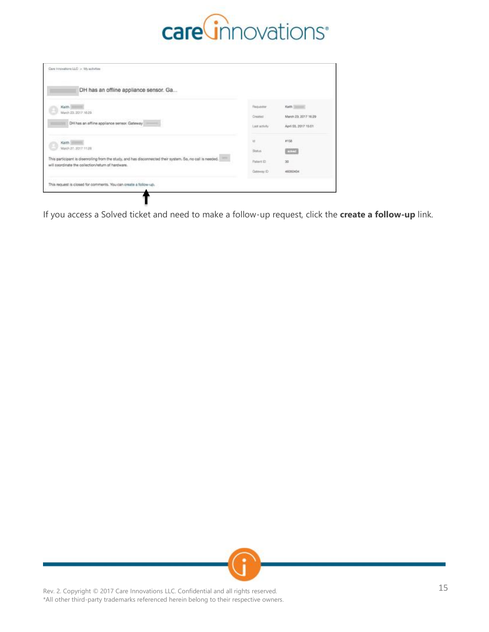

| DH has an offline appliance sensor. Ga                                                                                                                           |              |                      |
|------------------------------------------------------------------------------------------------------------------------------------------------------------------|--------------|----------------------|
| Keith.<br>March 23, 2017 18:29                                                                                                                                   | Flashutester | Keth [Council        |
|                                                                                                                                                                  | Created.     | March 23, 2017 16:29 |
| DH has an offine appliance sensor. Gateway                                                                                                                       | Last schuly  | April 03, 2017 15:01 |
| Keith                                                                                                                                                            | w            | etsa.                |
| March 27, 2017 11:28                                                                                                                                             | Solice       | <b>COST</b>          |
| This participant is diservalling from the study, and has disconnected their system. So, no call is needed.<br>will poordinate the collection/return of hardware. | Fistent ID   | 쫀                    |
|                                                                                                                                                                  | Gateway D    | 46050404             |
| This request is closed for comments. You can create a follow-up.                                                                                                 |              |                      |

If you access a Solved ticket and need to make a follow-up request, click the **create a follow-up** link.